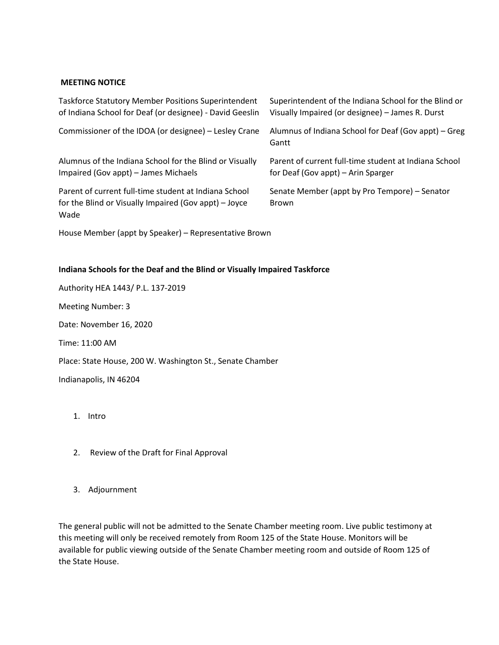## **MEETING NOTICE**

| <b>Taskforce Statutory Member Positions Superintendent</b>                                                             | Superintendent of the Indiana School for the Blind or         |
|------------------------------------------------------------------------------------------------------------------------|---------------------------------------------------------------|
| of Indiana School for Deaf (or designee) - David Geeslin                                                               | Visually Impaired (or designee) - James R. Durst              |
| Commissioner of the IDOA (or designee) – Lesley Crane                                                                  | Alumnus of Indiana School for Deaf (Gov appt) – Greg<br>Gantt |
| Alumnus of the Indiana School for the Blind or Visually                                                                | Parent of current full-time student at Indiana School         |
| Impaired (Gov appt) – James Michaels                                                                                   | for Deaf (Gov appt) – Arin Sparger                            |
| Parent of current full-time student at Indiana School<br>for the Blind or Visually Impaired (Gov appt) – Joyce<br>Wade | Senate Member (appt by Pro Tempore) – Senator<br><b>Brown</b> |

House Member (appt by Speaker) – Representative Brown

## **Indiana Schools for the Deaf and the Blind or Visually Impaired Taskforce**

Authority HEA 1443/ P.L. 137-2019 Meeting Number: 3 Date: November 16, 2020 Time: 11:00 AM Place: State House, 200 W. Washington St., Senate Chamber Indianapolis, IN 46204

- 1. Intro
- 2. Review of the Draft for Final Approval
- 3. Adjournment

The general public will not be admitted to the Senate Chamber meeting room. Live public testimony at this meeting will only be received remotely from Room 125 of the State House. Monitors will be available for public viewing outside of the Senate Chamber meeting room and outside of Room 125 of the State House.